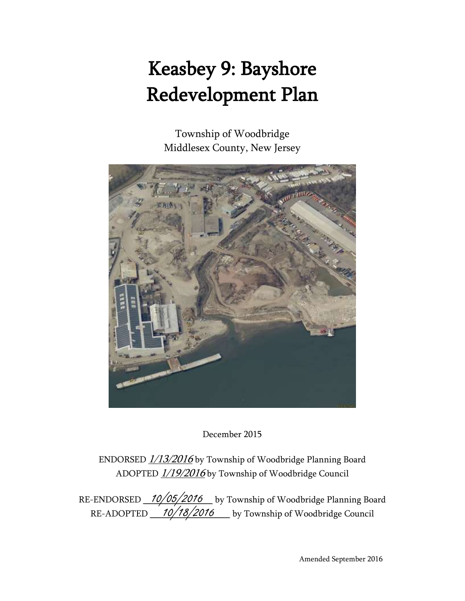# Keasbey 9: Bayshore Redevelopment Plan

Township of Woodbridge Middlesex County, New Jersey



December 2015

ENDORSED  $1/13/2016$  by Township of Woodbridge Planning Board ADOPTED  $1/19/2016$  by Township of Woodbridge Council

RE-ENDORSED 10/05/2016 \_ by Township of Woodbridge Planning Board RE-ADOPTED 10/18/2016 by Township of Woodbridge Council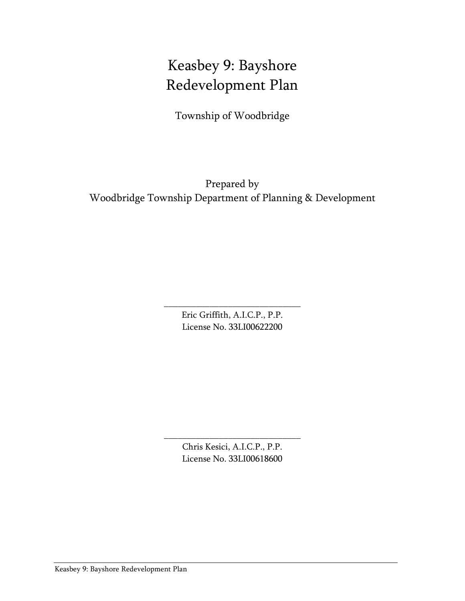# Keasbey 9: Bayshore Redevelopment Plan

Township of Woodbridge

Prepared by Woodbridge Township Department of Planning & Development

> Eric Griffith, A.I.C.P., P.P. License No. 33LI00622200

\_\_\_\_\_\_\_\_\_\_\_\_\_\_\_\_\_\_\_\_\_\_\_\_\_\_\_\_\_\_

Chris Kesici, A.I.C.P., P.P. License No. 33LI00618600

\_\_\_\_\_\_\_\_\_\_\_\_\_\_\_\_\_\_\_\_\_\_\_\_\_\_\_\_\_\_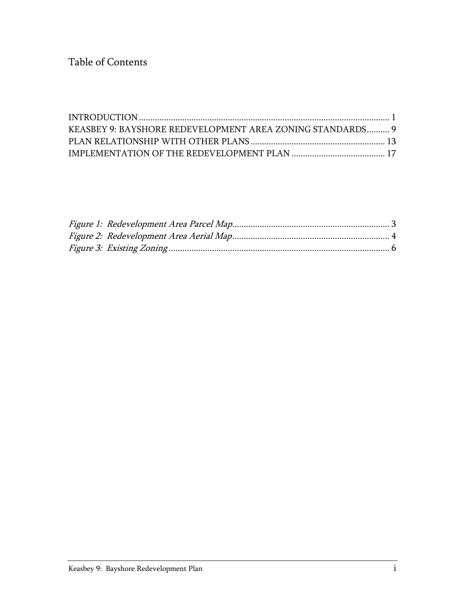Table of Contents

| KEASBEY 9: BAYSHORE REDEVELOPMENT AREA ZONING STANDARDS 9 |  |
|-----------------------------------------------------------|--|
|                                                           |  |
|                                                           |  |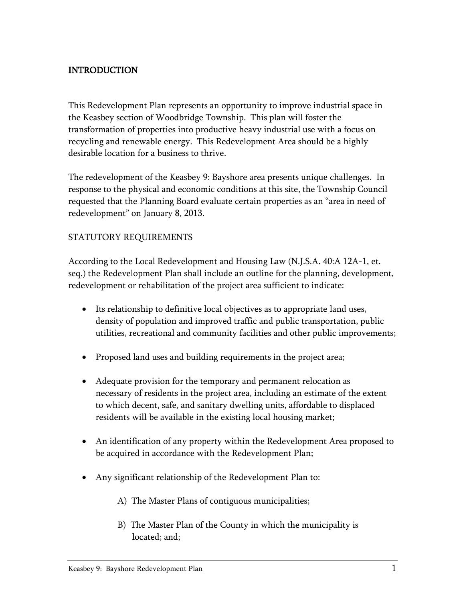# <span id="page-3-0"></span>INTRODUCTION

This Redevelopment Plan represents an opportunity to improve industrial space in the Keasbey section of Woodbridge Township. This plan will foster the transformation of properties into productive heavy industrial use with a focus on recycling and renewable energy. This Redevelopment Area should be a highly desirable location for a business to thrive.

The redevelopment of the Keasbey 9: Bayshore area presents unique challenges. In response to the physical and economic conditions at this site, the Township Council requested that the Planning Board evaluate certain properties as an "area in need of redevelopment" on January 8, 2013.

#### STATUTORY REQUIREMENTS

According to the Local Redevelopment and Housing Law (N.J.S.A. 40:A 12A-1, et. seq.) the Redevelopment Plan shall include an outline for the planning, development, redevelopment or rehabilitation of the project area sufficient to indicate:

- Its relationship to definitive local objectives as to appropriate land uses, density of population and improved traffic and public transportation, public utilities, recreational and community facilities and other public improvements;
- Proposed land uses and building requirements in the project area;
- Adequate provision for the temporary and permanent relocation as necessary of residents in the project area, including an estimate of the extent to which decent, safe, and sanitary dwelling units, affordable to displaced residents will be available in the existing local housing market;
- An identification of any property within the Redevelopment Area proposed to be acquired in accordance with the Redevelopment Plan;
- Any significant relationship of the Redevelopment Plan to:
	- A) The Master Plans of contiguous municipalities;
	- B) The Master Plan of the County in which the municipality is located; and;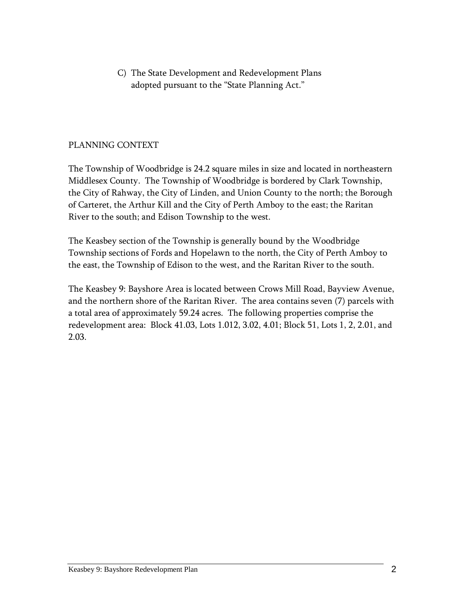C) The State Development and Redevelopment Plans adopted pursuant to the "State Planning Act."

#### PLANNING CONTEXT

The Township of Woodbridge is 24.2 square miles in size and located in northeastern Middlesex County. The Township of Woodbridge is bordered by Clark Township, the City of Rahway, the City of Linden, and Union County to the north; the Borough of Carteret, the Arthur Kill and the City of Perth Amboy to the east; the Raritan River to the south; and Edison Township to the west.

The Keasbey section of the Township is generally bound by the Woodbridge Township sections of Fords and Hopelawn to the north, the City of Perth Amboy to the east, the Township of Edison to the west, and the Raritan River to the south.

The Keasbey 9: Bayshore Area is located between Crows Mill Road, Bayview Avenue, and the northern shore of the Raritan River. The area contains seven (7) parcels with a total area of approximately 59.24 acres. The following properties comprise the redevelopment area: Block 41.03, Lots 1.012, 3.02, 4.01; Block 51, Lots 1, 2, 2.01, and 2.03.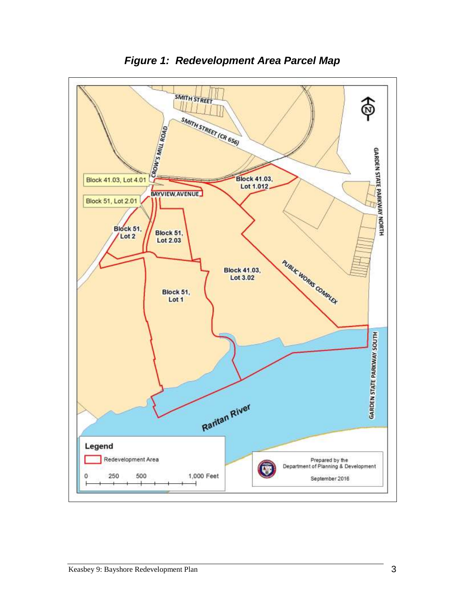<span id="page-5-0"></span>

*Figure 1: Redevelopment Area Parcel Map*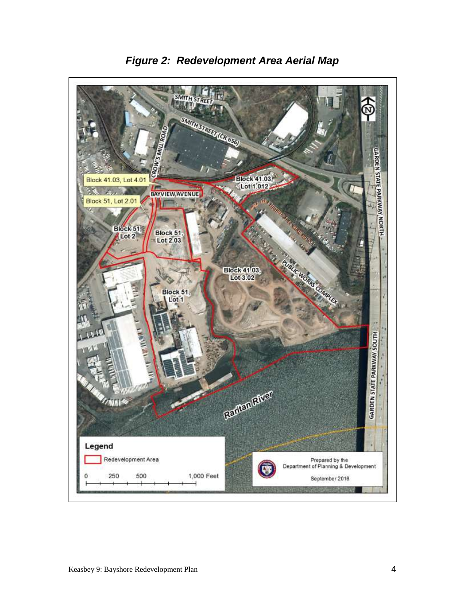<span id="page-6-0"></span>

*Figure 2: Redevelopment Area Aerial Map*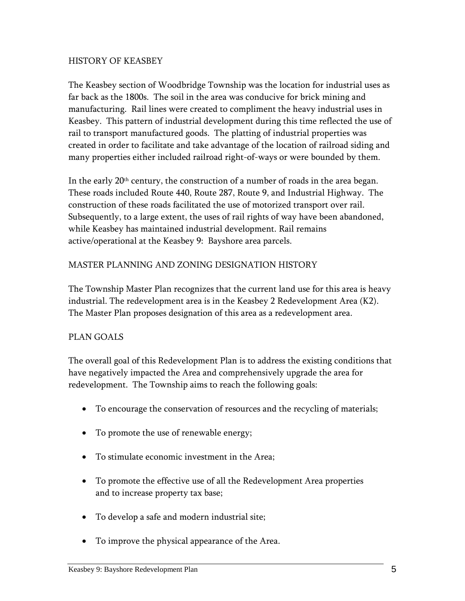#### HISTORY OF KEASBEY

The Keasbey section of Woodbridge Township was the location for industrial uses as far back as the 1800s. The soil in the area was conducive for brick mining and manufacturing. Rail lines were created to compliment the heavy industrial uses in Keasbey. This pattern of industrial development during this time reflected the use of rail to transport manufactured goods. The platting of industrial properties was created in order to facilitate and take advantage of the location of railroad siding and many properties either included railroad right-of-ways or were bounded by them.

In the early 20<sup>th</sup> century, the construction of a number of roads in the area began. These roads included Route 440, Route 287, Route 9, and Industrial Highway. The construction of these roads facilitated the use of motorized transport over rail. Subsequently, to a large extent, the uses of rail rights of way have been abandoned, while Keasbey has maintained industrial development. Rail remains active/operational at the Keasbey 9: Bayshore area parcels.

### MASTER PLANNING AND ZONING DESIGNATION HISTORY

The Township Master Plan recognizes that the current land use for this area is heavy industrial. The redevelopment area is in the Keasbey 2 Redevelopment Area (K2). The Master Plan proposes designation of this area as a redevelopment area.

#### PLAN GOALS

The overall goal of this Redevelopment Plan is to address the existing conditions that have negatively impacted the Area and comprehensively upgrade the area for redevelopment. The Township aims to reach the following goals:

- To encourage the conservation of resources and the recycling of materials;
- To promote the use of renewable energy;
- To stimulate economic investment in the Area;
- To promote the effective use of all the Redevelopment Area properties and to increase property tax base;
- To develop a safe and modern industrial site;
- To improve the physical appearance of the Area.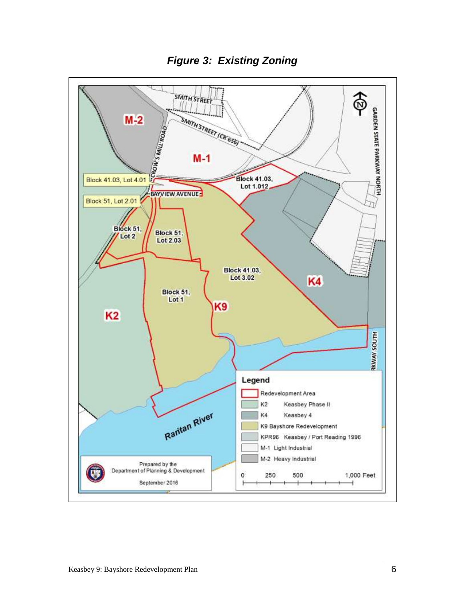<span id="page-8-0"></span>

*Figure 3: Existing Zoning*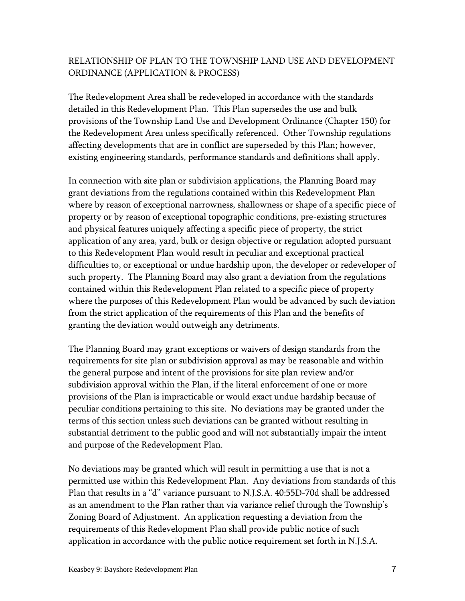# RELATIONSHIP OF PLAN TO THE TOWNSHIP LAND USE AND DEVELOPMENT ORDINANCE (APPLICATION & PROCESS)

The Redevelopment Area shall be redeveloped in accordance with the standards detailed in this Redevelopment Plan. This Plan supersedes the use and bulk provisions of the Township Land Use and Development Ordinance (Chapter 150) for the Redevelopment Area unless specifically referenced. Other Township regulations affecting developments that are in conflict are superseded by this Plan; however, existing engineering standards, performance standards and definitions shall apply.

In connection with site plan or subdivision applications, the Planning Board may grant deviations from the regulations contained within this Redevelopment Plan where by reason of exceptional narrowness, shallowness or shape of a specific piece of property or by reason of exceptional topographic conditions, pre-existing structures and physical features uniquely affecting a specific piece of property, the strict application of any area, yard, bulk or design objective or regulation adopted pursuant to this Redevelopment Plan would result in peculiar and exceptional practical difficulties to, or exceptional or undue hardship upon, the developer or redeveloper of such property. The Planning Board may also grant a deviation from the regulations contained within this Redevelopment Plan related to a specific piece of property where the purposes of this Redevelopment Plan would be advanced by such deviation from the strict application of the requirements of this Plan and the benefits of granting the deviation would outweigh any detriments.

The Planning Board may grant exceptions or waivers of design standards from the requirements for site plan or subdivision approval as may be reasonable and within the general purpose and intent of the provisions for site plan review and/or subdivision approval within the Plan, if the literal enforcement of one or more provisions of the Plan is impracticable or would exact undue hardship because of peculiar conditions pertaining to this site. No deviations may be granted under the terms of this section unless such deviations can be granted without resulting in substantial detriment to the public good and will not substantially impair the intent and purpose of the Redevelopment Plan.

No deviations may be granted which will result in permitting a use that is not a permitted use within this Redevelopment Plan. Any deviations from standards of this Plan that results in a "d" variance pursuant to N.J.S.A. 40:55D-70d shall be addressed as an amendment to the Plan rather than via variance relief through the Township's Zoning Board of Adjustment. An application requesting a deviation from the requirements of this Redevelopment Plan shall provide public notice of such application in accordance with the public notice requirement set forth in N.J.S.A.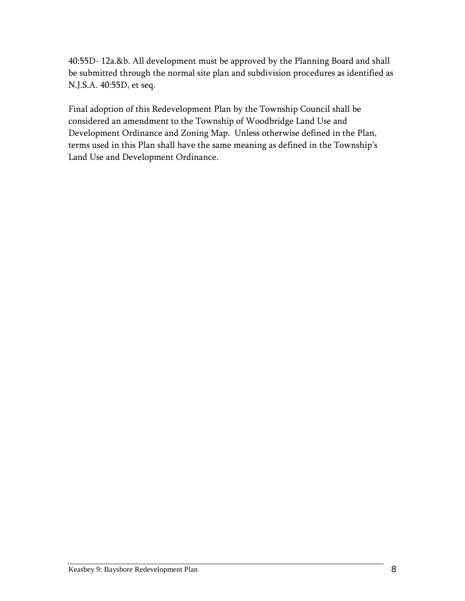40:55D- 12a.&b. All development must be approved by the Planning Board and shall be submitted through the normal site plan and subdivision procedures as identified as N.J.S.A. 40:55D, et seq.

Final adoption of this Redevelopment Plan by the Township Council shall be considered an amendment to the Township of Woodbridge Land Use and Development Ordinance and Zoning Map. Unless otherwise defined in the Plan, terms used in this Plan shall have the same meaning as defined in the Township's Land Use and Development Ordinance.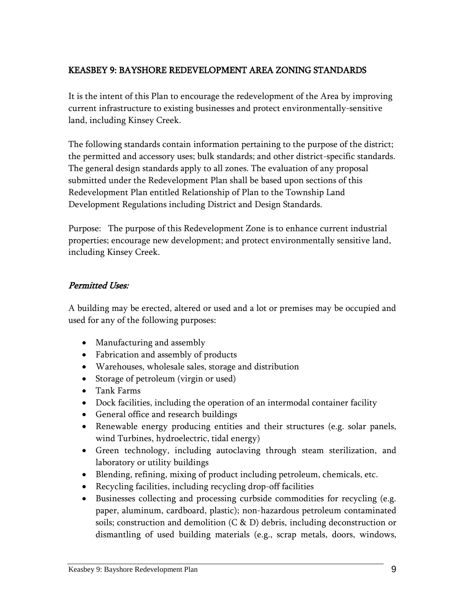# <span id="page-11-0"></span>KEASBEY 9: BAYSHORE REDEVELOPMENT AREA ZONING STANDARDS

It is the intent of this Plan to encourage the redevelopment of the Area by improving current infrastructure to existing businesses and protect environmentally-sensitive land, including Kinsey Creek.

The following standards contain information pertaining to the purpose of the district; the permitted and accessory uses; bulk standards; and other district-specific standards. The general design standards apply to all zones. The evaluation of any proposal submitted under the Redevelopment Plan shall be based upon sections of this Redevelopment Plan entitled Relationship of Plan to the Township Land Development Regulations including District and Design Standards.

Purpose: The purpose of this Redevelopment Zone is to enhance current industrial properties; encourage new development; and protect environmentally sensitive land, including Kinsey Creek.

#### Permitted Uses:

A building may be erected, altered or used and a lot or premises may be occupied and used for any of the following purposes:

- Manufacturing and assembly
- Fabrication and assembly of products
- Warehouses, wholesale sales, storage and distribution
- Storage of petroleum (virgin or used)
- Tank Farms
- Dock facilities, including the operation of an intermodal container facility
- General office and research buildings
- Renewable energy producing entities and their structures (e.g. solar panels, wind Turbines, hydroelectric, tidal energy)
- Green technology, including autoclaving through steam sterilization, and laboratory or utility buildings
- Blending, refining, mixing of product including petroleum, chemicals, etc.
- Recycling facilities, including recycling drop-off facilities
- Businesses collecting and processing curbside commodities for recycling (e.g. paper, aluminum, cardboard, plastic); non-hazardous petroleum contaminated soils; construction and demolition (C & D) debris, including deconstruction or dismantling of used building materials (e.g., scrap metals, doors, windows,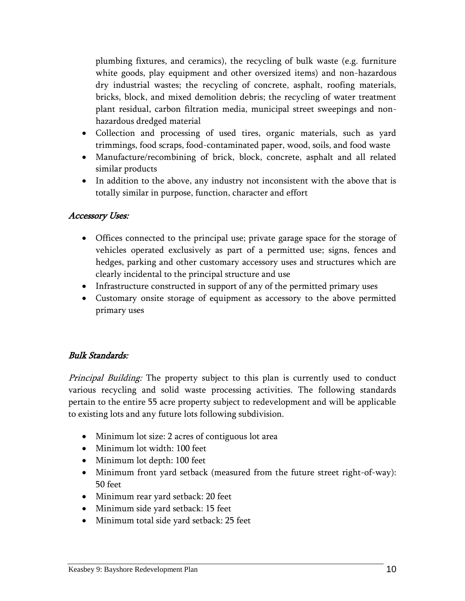plumbing fixtures, and ceramics), the recycling of bulk waste (e.g. furniture white goods, play equipment and other oversized items) and non-hazardous dry industrial wastes; the recycling of concrete, asphalt, roofing materials, bricks, block, and mixed demolition debris; the recycling of water treatment plant residual, carbon filtration media, municipal street sweepings and nonhazardous dredged material

- Collection and processing of used tires, organic materials, such as yard trimmings, food scraps, food-contaminated paper, wood, soils, and food waste
- Manufacture/recombining of brick, block, concrete, asphalt and all related similar products
- In addition to the above, any industry not inconsistent with the above that is totally similar in purpose, function, character and effort

#### Accessory Uses:

- Offices connected to the principal use; private garage space for the storage of vehicles operated exclusively as part of a permitted use; signs, fences and hedges, parking and other customary accessory uses and structures which are clearly incidental to the principal structure and use
- Infrastructure constructed in support of any of the permitted primary uses
- Customary onsite storage of equipment as accessory to the above permitted primary uses

# Bulk Standards:

Principal Building: The property subject to this plan is currently used to conduct various recycling and solid waste processing activities. The following standards pertain to the entire 55 acre property subject to redevelopment and will be applicable to existing lots and any future lots following subdivision.

- Minimum lot size: 2 acres of contiguous lot area
- Minimum lot width: 100 feet
- Minimum lot depth: 100 feet
- Minimum front yard setback (measured from the future street right-of-way): 50 feet
- Minimum rear yard setback: 20 feet
- Minimum side yard setback: 15 feet
- Minimum total side yard setback: 25 feet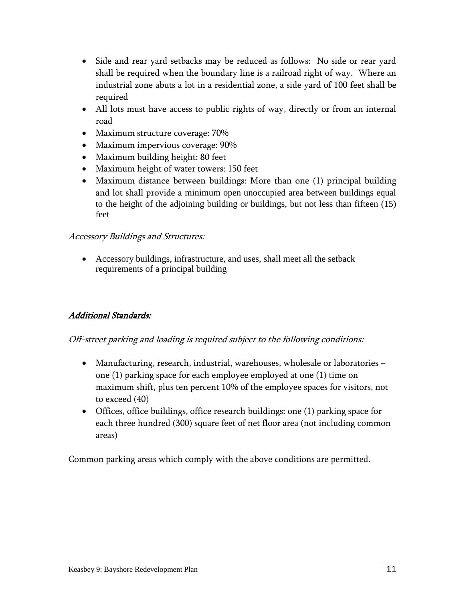- Side and rear yard setbacks may be reduced as follows: No side or rear yard shall be required when the boundary line is a railroad right of way. Where an industrial zone abuts a lot in a residential zone, a side yard of 100 feet shall be required
- All lots must have access to public rights of way, directly or from an internal road
- Maximum structure coverage: 70%
- Maximum impervious coverage: 90%
- Maximum building height: 80 feet
- Maximum height of water towers: 150 feet
- Maximum distance between buildings: More than one (1) principal building and lot shall provide a minimum open unoccupied area between buildings equal to the height of the adjoining building or buildings, but not less than fifteen (15) feet

# Accessory Buildings and Structures:

 Accessory buildings, infrastructure, and uses, shall meet all the setback requirements of a principal building

# Additional Standards:

# Off-street parking and loading is required subject to the following conditions:

- Manufacturing, research, industrial, warehouses, wholesale or laboratories one (1) parking space for each employee employed at one (1) time on maximum shift, plus ten percent 10% of the employee spaces for visitors, not to exceed (40)
- Offices, office buildings, office research buildings: one (1) parking space for each three hundred (300) square feet of net floor area (not including common areas)

Common parking areas which comply with the above conditions are permitted.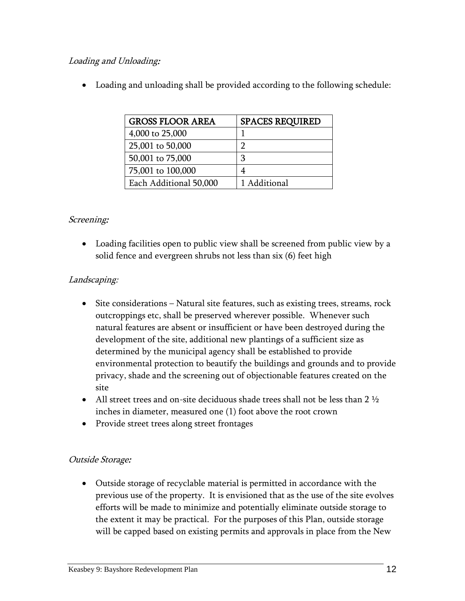# Loading and Unloading:

Loading and unloading shall be provided according to the following schedule:

| <b>GROSS FLOOR AREA</b> | <b>SPACES REQUIRED</b> |
|-------------------------|------------------------|
| 4,000 to 25,000         |                        |
| 25,001 to 50,000        | ר                      |
| 50,001 to 75,000        | 3                      |
| 75,001 to 100,000       |                        |
| Each Additional 50,000  | 1 Additional           |

### Screening:

 Loading facilities open to public view shall be screened from public view by a solid fence and evergreen shrubs not less than six (6) feet high

### Landscaping:

- Site considerations Natural site features, such as existing trees, streams, rock outcroppings etc, shall be preserved wherever possible. Whenever such natural features are absent or insufficient or have been destroyed during the development of the site, additional new plantings of a sufficient size as determined by the municipal agency shall be established to provide environmental protection to beautify the buildings and grounds and to provide privacy, shade and the screening out of objectionable features created on the site
- All street trees and on-site deciduous shade trees shall not be less than 2  $\frac{1}{2}$ inches in diameter, measured one (1) foot above the root crown
- Provide street trees along street frontages

# Outside Storage:

 Outside storage of recyclable material is permitted in accordance with the previous use of the property. It is envisioned that as the use of the site evolves efforts will be made to minimize and potentially eliminate outside storage to the extent it may be practical. For the purposes of this Plan, outside storage will be capped based on existing permits and approvals in place from the New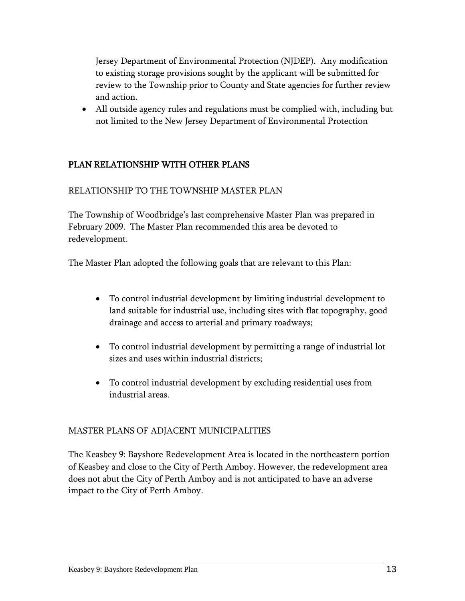Jersey Department of Environmental Protection (NJDEP). Any modification to existing storage provisions sought by the applicant will be submitted for review to the Township prior to County and State agencies for further review and action.

 All outside agency rules and regulations must be complied with, including but not limited to the New Jersey Department of Environmental Protection

# <span id="page-15-0"></span>PLAN RELATIONSHIP WITH OTHER PLANS

#### RELATIONSHIP TO THE TOWNSHIP MASTER PLAN

The Township of Woodbridge's last comprehensive Master Plan was prepared in February 2009. The Master Plan recommended this area be devoted to redevelopment.

The Master Plan adopted the following goals that are relevant to this Plan:

- To control industrial development by limiting industrial development to land suitable for industrial use, including sites with flat topography, good drainage and access to arterial and primary roadways;
- To control industrial development by permitting a range of industrial lot sizes and uses within industrial districts;
- To control industrial development by excluding residential uses from industrial areas.

#### MASTER PLANS OF ADJACENT MUNICIPALITIES

The Keasbey 9: Bayshore Redevelopment Area is located in the northeastern portion of Keasbey and close to the City of Perth Amboy. However, the redevelopment area does not abut the City of Perth Amboy and is not anticipated to have an adverse impact to the City of Perth Amboy.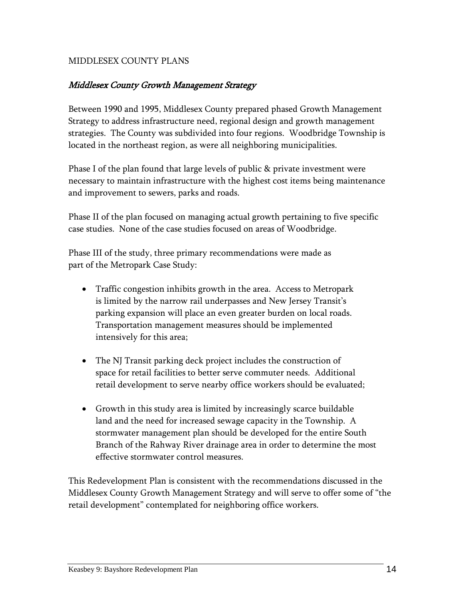#### MIDDLESEX COUNTY PLANS

#### Middlesex County Growth Management Strategy

Between 1990 and 1995, Middlesex County prepared phased Growth Management Strategy to address infrastructure need, regional design and growth management strategies. The County was subdivided into four regions. Woodbridge Township is located in the northeast region, as were all neighboring municipalities.

Phase I of the plan found that large levels of public & private investment were necessary to maintain infrastructure with the highest cost items being maintenance and improvement to sewers, parks and roads.

Phase II of the plan focused on managing actual growth pertaining to five specific case studies. None of the case studies focused on areas of Woodbridge.

Phase III of the study, three primary recommendations were made as part of the Metropark Case Study:

- Traffic congestion inhibits growth in the area. Access to Metropark is limited by the narrow rail underpasses and New Jersey Transit's parking expansion will place an even greater burden on local roads. Transportation management measures should be implemented intensively for this area;
- The NJ Transit parking deck project includes the construction of space for retail facilities to better serve commuter needs. Additional retail development to serve nearby office workers should be evaluated;
- Growth in this study area is limited by increasingly scarce buildable land and the need for increased sewage capacity in the Township. A stormwater management plan should be developed for the entire South Branch of the Rahway River drainage area in order to determine the most effective stormwater control measures.

This Redevelopment Plan is consistent with the recommendations discussed in the Middlesex County Growth Management Strategy and will serve to offer some of "the retail development" contemplated for neighboring office workers.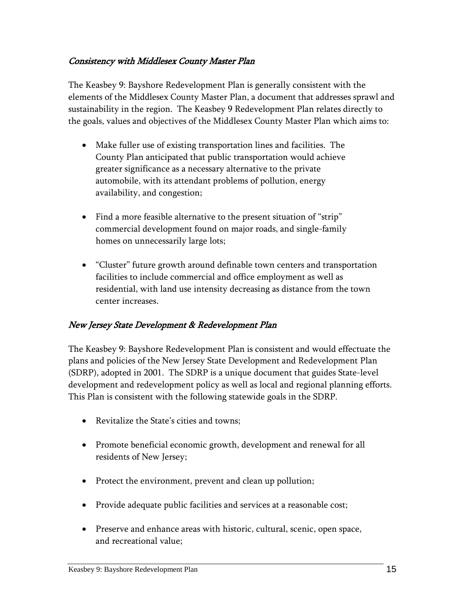### Consistency with Middlesex County Master Plan

The Keasbey 9: Bayshore Redevelopment Plan is generally consistent with the elements of the Middlesex County Master Plan, a document that addresses sprawl and sustainability in the region. The Keasbey 9 Redevelopment Plan relates directly to the goals, values and objectives of the Middlesex County Master Plan which aims to:

- Make fuller use of existing transportation lines and facilities. The County Plan anticipated that public transportation would achieve greater significance as a necessary alternative to the private automobile, with its attendant problems of pollution, energy availability, and congestion;
- Find a more feasible alternative to the present situation of "strip" commercial development found on major roads, and single-family homes on unnecessarily large lots;
- "Cluster" future growth around definable town centers and transportation facilities to include commercial and office employment as well as residential, with land use intensity decreasing as distance from the town center increases.

# New Jersey State Development & Redevelopment Plan

The Keasbey 9: Bayshore Redevelopment Plan is consistent and would effectuate the plans and policies of the New Jersey State Development and Redevelopment Plan (SDRP), adopted in 2001. The SDRP is a unique document that guides State-level development and redevelopment policy as well as local and regional planning efforts. This Plan is consistent with the following statewide goals in the SDRP.

- Revitalize the State's cities and towns;
- Promote beneficial economic growth, development and renewal for all residents of New Jersey;
- Protect the environment, prevent and clean up pollution;
- Provide adequate public facilities and services at a reasonable cost;
- Preserve and enhance areas with historic, cultural, scenic, open space, and recreational value;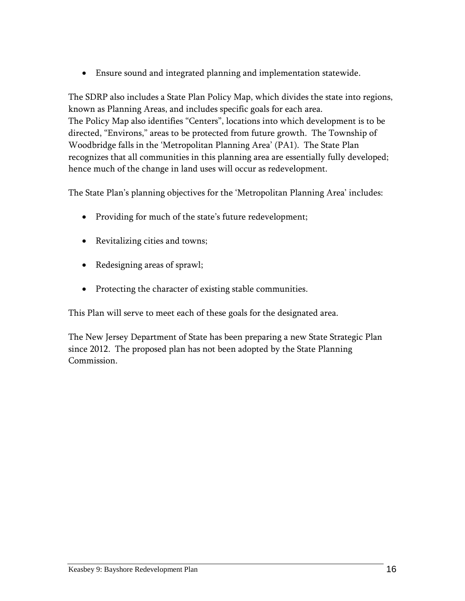Ensure sound and integrated planning and implementation statewide.

The SDRP also includes a State Plan Policy Map, which divides the state into regions, known as Planning Areas, and includes specific goals for each area. The Policy Map also identifies "Centers", locations into which development is to be directed, "Environs," areas to be protected from future growth. The Township of Woodbridge falls in the 'Metropolitan Planning Area' (PA1). The State Plan recognizes that all communities in this planning area are essentially fully developed; hence much of the change in land uses will occur as redevelopment.

The State Plan's planning objectives for the 'Metropolitan Planning Area' includes:

- Providing for much of the state's future redevelopment;
- Revitalizing cities and towns;
- Redesigning areas of sprawl;
- Protecting the character of existing stable communities.

This Plan will serve to meet each of these goals for the designated area.

The New Jersey Department of State has been preparing a new State Strategic Plan since 2012. The proposed plan has not been adopted by the State Planning Commission.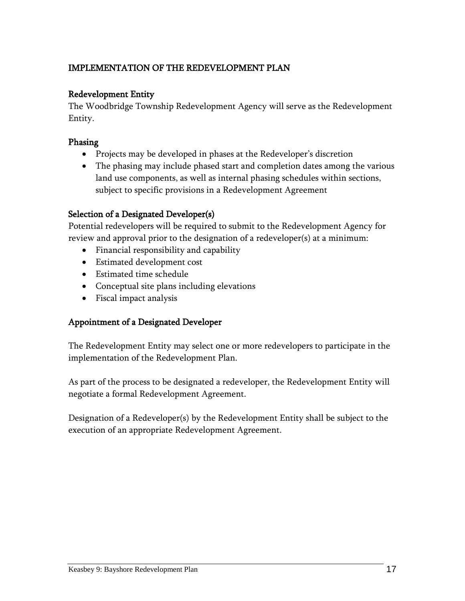# <span id="page-19-0"></span>IMPLEMENTATION OF THE REDEVELOPMENT PLAN

### Redevelopment Entity

The Woodbridge Township Redevelopment Agency will serve as the Redevelopment Entity.

#### Phasing

- Projects may be developed in phases at the Redeveloper's discretion
- The phasing may include phased start and completion dates among the various land use components, as well as internal phasing schedules within sections, subject to specific provisions in a Redevelopment Agreement

### Selection of a Designated Developer(s)

Potential redevelopers will be required to submit to the Redevelopment Agency for review and approval prior to the designation of a redeveloper(s) at a minimum:

- Financial responsibility and capability
- Estimated development cost
- Estimated time schedule
- Conceptual site plans including elevations
- Fiscal impact analysis

# Appointment of a Designated Developer

The Redevelopment Entity may select one or more redevelopers to participate in the implementation of the Redevelopment Plan.

As part of the process to be designated a redeveloper, the Redevelopment Entity will negotiate a formal Redevelopment Agreement.

Designation of a Redeveloper(s) by the Redevelopment Entity shall be subject to the execution of an appropriate Redevelopment Agreement.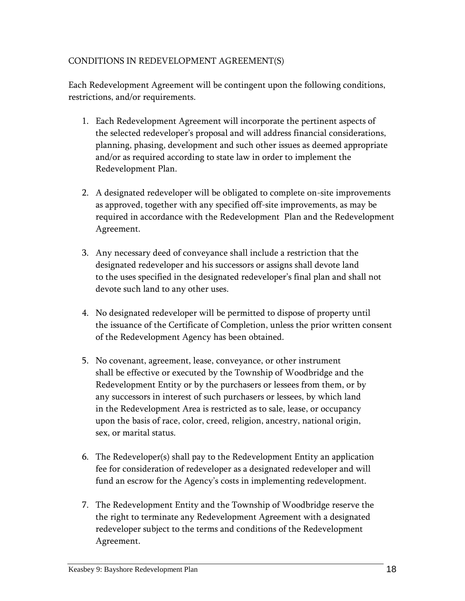### CONDITIONS IN REDEVELOPMENT AGREEMENT(S)

Each Redevelopment Agreement will be contingent upon the following conditions, restrictions, and/or requirements.

- 1. Each Redevelopment Agreement will incorporate the pertinent aspects of the selected redeveloper's proposal and will address financial considerations, planning, phasing, development and such other issues as deemed appropriate and/or as required according to state law in order to implement the Redevelopment Plan.
- 2. A designated redeveloper will be obligated to complete on-site improvements as approved, together with any specified off-site improvements, as may be required in accordance with the Redevelopment Plan and the Redevelopment Agreement.
- 3. Any necessary deed of conveyance shall include a restriction that the designated redeveloper and his successors or assigns shall devote land to the uses specified in the designated redeveloper's final plan and shall not devote such land to any other uses.
- 4. No designated redeveloper will be permitted to dispose of property until the issuance of the Certificate of Completion, unless the prior written consent of the Redevelopment Agency has been obtained.
- 5. No covenant, agreement, lease, conveyance, or other instrument shall be effective or executed by the Township of Woodbridge and the Redevelopment Entity or by the purchasers or lessees from them, or by any successors in interest of such purchasers or lessees, by which land in the Redevelopment Area is restricted as to sale, lease, or occupancy upon the basis of race, color, creed, religion, ancestry, national origin, sex, or marital status.
- 6. The Redeveloper(s) shall pay to the Redevelopment Entity an application fee for consideration of redeveloper as a designated redeveloper and will fund an escrow for the Agency's costs in implementing redevelopment.
- 7. The Redevelopment Entity and the Township of Woodbridge reserve the the right to terminate any Redevelopment Agreement with a designated redeveloper subject to the terms and conditions of the Redevelopment Agreement.